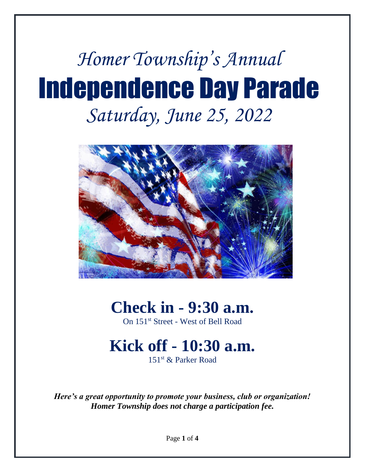# *Homer Township's Annual* Independence Day Parade *Saturday, June 25, 2022*



# **Check in - 9:30 a.m.**

On 151st Street - West of Bell Road

# **Kick off - 10:30 a.m.**

151st & Parker Road

*Here's a great opportunity to promote your business, club or organization! Homer Township does not charge a participation fee.*

Page **1** of **4**

 $\overline{a}$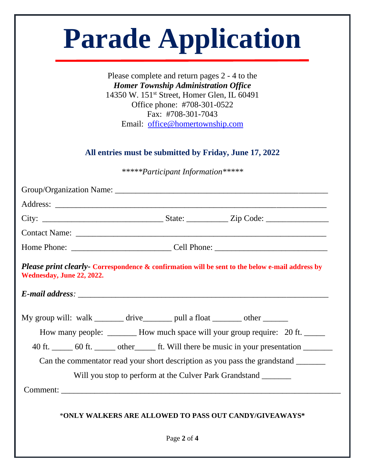|                           | Please complete and return pages 2 - 4 to the<br><b>Homer Township Administration Office</b><br>14350 W. 151 <sup>st</sup> Street, Homer Glen, IL 60491<br>Office phone: #708-301-0522 |
|---------------------------|----------------------------------------------------------------------------------------------------------------------------------------------------------------------------------------|
|                           | Fax: #708-301-7043<br>Email: office@homertownship.com                                                                                                                                  |
|                           | All entries must be submitted by Friday, June 17, 2022                                                                                                                                 |
|                           | *****Participant Information*****                                                                                                                                                      |
|                           |                                                                                                                                                                                        |
|                           |                                                                                                                                                                                        |
|                           |                                                                                                                                                                                        |
|                           |                                                                                                                                                                                        |
|                           |                                                                                                                                                                                        |
| Wednesday, June 22, 2022. | Please print clearly- Correspondence & confirmation will be sent to the below e-mail address by                                                                                        |
|                           |                                                                                                                                                                                        |
|                           | My group will: walk _______ drive_______ pull a float _______ other _______                                                                                                            |
|                           | How many people: ________ How much space will your group require: 20 ft. ______                                                                                                        |
|                           | 40 ft. _______ 60 ft. ________ other ________ ft. Will there be music in your presentation ________                                                                                    |
|                           |                                                                                                                                                                                        |
|                           |                                                                                                                                                                                        |
|                           | Can the commentator read your short description as you pass the grandstand _______<br>Will you stop to perform at the Culver Park Grandstand _______                                   |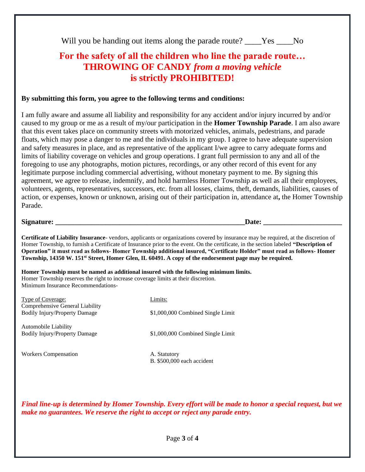|  |  |  |  | Will you be handing out items along the parade route? | Yes \, | N <sub>0</sub> |
|--|--|--|--|-------------------------------------------------------|--------|----------------|
|--|--|--|--|-------------------------------------------------------|--------|----------------|

### **For the safety of all the children who line the parade route… THROWING OF CANDY** *from a moving vehicle* **is strictly PROHIBITED!**

#### **By submitting this form, you agree to the following terms and conditions:**

I am fully aware and assume all liability and responsibility for any accident and/or injury incurred by and/or caused to my group or me as a result of my/our participation in the **Homer Township Parade**. I am also aware that this event takes place on community streets with motorized vehicles, animals, pedestrians, and parade floats, which may pose a danger to me and the individuals in my group. I agree to have adequate supervision and safety measures in place, and as representative of the applicant I/we agree to carry adequate forms and limits of liability coverage on vehicles and group operations. I grant full permission to any and all of the foregoing to use any photographs, motion pictures, recordings, or any other record of this event for any legitimate purpose including commercial advertising, without monetary payment to me. By signing this agreement, we agree to release, indemnify, and hold harmless Homer Township as well as all their employees, volunteers, agents, representatives, successors, etc. from all losses, claims, theft, demands, liabilities, causes of action, or expenses, known or unknown, arising out of their participation in, attendance at**,** the Homer Township Parade.

#### **Signature: \_\_\_\_\_\_\_\_\_\_\_\_\_\_\_\_\_\_\_\_\_\_\_\_\_\_\_\_\_\_\_\_\_\_\_\_\_\_\_\_\_\_\_\_\_\_\_\_\_\_\_\_\_Date: \_\_\_\_\_\_\_\_\_\_\_\_\_\_\_\_\_\_\_\_\_\_**

**Certificate of Liability Insurance**- vendors, applicants or organizations covered by insurance may be required, at the discretion of Homer Township, to furnish a Certificate of Insurance prior to the event. On the certificate, in the section labeled **"Description of Operation" it must read as follows- Homer Township additional insured, "Certificate Holder" must read as follows- Homer Township, 14350 W. 151st Street, Homer Glen, IL 60491. A copy of the endorsement page may be required.**

**Homer Township must be named as additional insured with the following minimum limits.** Homer Township reserves the right to increase coverage limits at their discretion. Minimum Insurance Recommendations-

| Type of Coverage:                                                       | Limits:                                    |
|-------------------------------------------------------------------------|--------------------------------------------|
| Comprehensive General Liability<br><b>Bodily Injury/Property Damage</b> | \$1,000,000 Combined Single Limit          |
| Automobile Liability<br><b>Bodily Injury/Property Damage</b>            | \$1,000,000 Combined Single Limit          |
| <b>Workers Compensation</b>                                             | A. Statutory<br>B. \$500,000 each accident |

*Final line-up is determined by Homer Township. Every effort will be made to honor a special request, but we make no guarantees. We reserve the right to accept or reject any parade entry.*